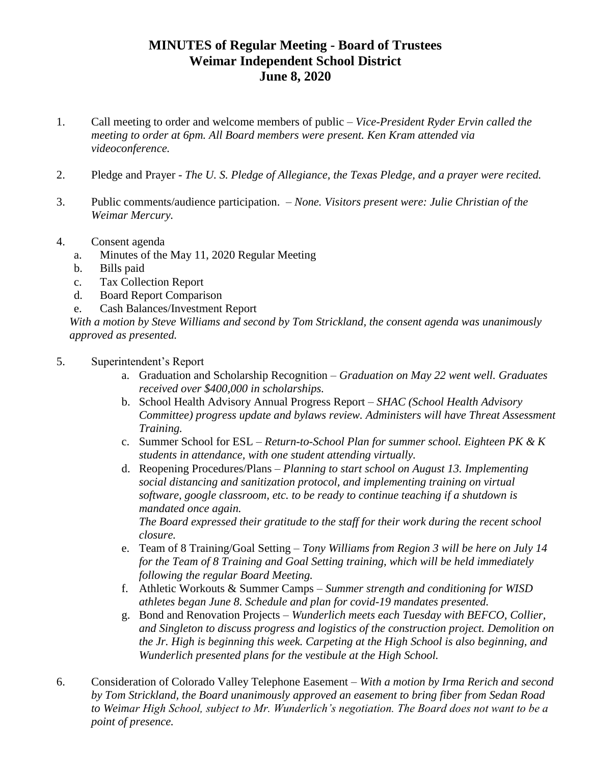## **MINUTES of Regular Meeting - Board of Trustees Weimar Independent School District June 8, 2020**

- 1. Call meeting to order and welcome members of public *Vice-President Ryder Ervin called the meeting to order at 6pm. All Board members were present. Ken Kram attended via videoconference.*
- 2. Pledge and Prayer *The U. S. Pledge of Allegiance, the Texas Pledge, and a prayer were recited.*
- 3. Public comments/audience participation. *None. Visitors present were: Julie Christian of the Weimar Mercury.*
- 4. Consent agenda
	- a. Minutes of the May 11, 2020 Regular Meeting
	- b. Bills paid
	- c. Tax Collection Report
	- d. Board Report Comparison
	- e. Cash Balances/Investment Report

*With a motion by Steve Williams and second by Tom Strickland, the consent agenda was unanimously approved as presented.* 

- 5. Superintendent's Report
	- a. Graduation and Scholarship Recognition *– Graduation on May 22 went well. Graduates received over \$400,000 in scholarships.*
	- b. School Health Advisory Annual Progress Report *– SHAC (School Health Advisory Committee) progress update and bylaws review. Administers will have Threat Assessment Training.*
	- c. Summer School for ESL *– Return-to-School Plan for summer school. Eighteen PK & K students in attendance, with one student attending virtually.*
	- d. Reopening Procedures/Plans *Planning to start school on August 13. Implementing social distancing and sanitization protocol, and implementing training on virtual software, google classroom, etc. to be ready to continue teaching if a shutdown is mandated once again.*

*The Board expressed their gratitude to the staff for their work during the recent school closure.*

- e. Team of 8 Training/Goal Setting *Tony Williams from Region 3 will be here on July 14 for the Team of 8 Training and Goal Setting training, which will be held immediately following the regular Board Meeting.*
- f. Athletic Workouts & Summer Camps *– Summer strength and conditioning for WISD athletes began June 8. Schedule and plan for covid-19 mandates presented.*
- g. Bond and Renovation Projects *– Wunderlich meets each Tuesday with BEFCO, Collier, and Singleton to discuss progress and logistics of the construction project. Demolition on the Jr. High is beginning this week. Carpeting at the High School is also beginning, and Wunderlich presented plans for the vestibule at the High School.*
- 6. Consideration of Colorado Valley Telephone Easement *With a motion by Irma Rerich and second by Tom Strickland, the Board unanimously approved an easement to bring fiber from Sedan Road to Weimar High School, subject to Mr. Wunderlich's negotiation. The Board does not want to be a point of presence.*